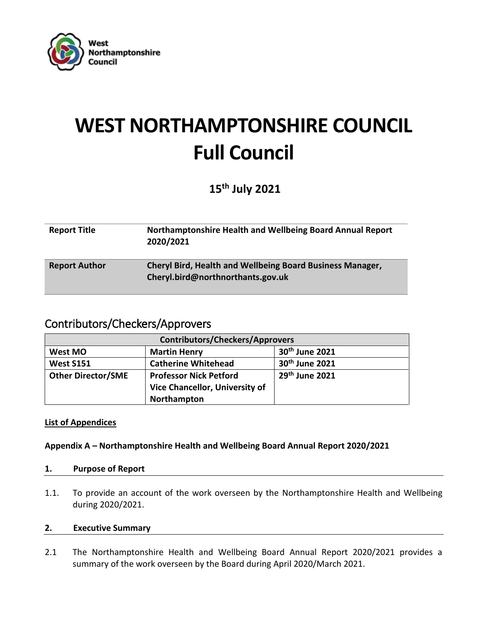

# **WEST NORTHAMPTONSHIRE COUNCIL Full Council**

# **15th July 2021**

| <b>Report Title</b>  | Northamptonshire Health and Wellbeing Board Annual Report<br>2020/2021                                |
|----------------------|-------------------------------------------------------------------------------------------------------|
| <b>Report Author</b> | <b>Cheryl Bird, Health and Wellbeing Board Business Manager,</b><br>Cheryl.bird@northnorthants.gov.uk |

# Contributors/Checkers/Approvers

| <b>Contributors/Checkers/Approvers</b> |                                |                  |  |
|----------------------------------------|--------------------------------|------------------|--|
| West MO                                | <b>Martin Henry</b>            | $30th$ June 2021 |  |
| <b>West S151</b>                       | <b>Catherine Whitehead</b>     | $30th$ June 2021 |  |
| <b>Other Director/SME</b>              | <b>Professor Nick Petford</b>  | $29th$ June 2021 |  |
|                                        | Vice Chancellor, University of |                  |  |
|                                        | Northampton                    |                  |  |

# **List of Appendices**

#### **Appendix A – Northamptonshire Health and Wellbeing Board Annual Report 2020/2021**

#### **1. Purpose of Report**

1.1. To provide an account of the work overseen by the Northamptonshire Health and Wellbeing during 2020/2021.

#### **2. Executive Summary**

2.1 The Northamptonshire Health and Wellbeing Board Annual Report 2020/2021 provides a summary of the work overseen by the Board during April 2020/March 2021.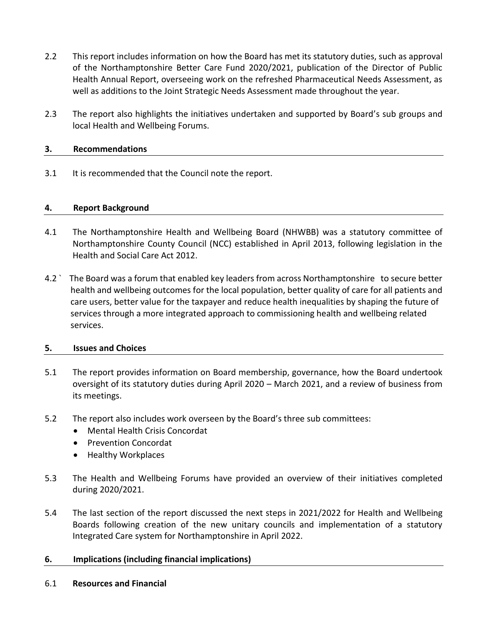- 2.2 This report includes information on how the Board has met its statutory duties, such as approval of the Northamptonshire Better Care Fund 2020/2021, publication of the Director of Public Health Annual Report, overseeing work on the refreshed Pharmaceutical Needs Assessment, as well as additions to the Joint Strategic Needs Assessment made throughout the year.
- 2.3 The report also highlights the initiatives undertaken and supported by Board's sub groups and local Health and Wellbeing Forums.

#### **3. Recommendations**

3.1 It is recommended that the Council note the report.

#### **4. Report Background**

- 4.1 The Northamptonshire Health and Wellbeing Board (NHWBB) was a statutory committee of Northamptonshire County Council (NCC) established in April 2013, following legislation in the Health and Social Care Act 2012.
- 4.2 ` The Board was a forum that enabled key leaders from across Northamptonshire to secure better health and wellbeing outcomes for the local population, better quality of care for all patients and care users, better value for the taxpayer and reduce health inequalities by shaping the future of services through a more integrated approach to commissioning health and wellbeing related services.

#### **5. Issues and Choices**

- 5.1 The report provides information on Board membership, governance, how the Board undertook oversight of its statutory duties during April 2020 – March 2021, and a review of business from its meetings.
- 5.2 The report also includes work overseen by the Board's three sub committees:
	- Mental Health Crisis Concordat
	- Prevention Concordat
	- Healthy Workplaces
- 5.3 The Health and Wellbeing Forums have provided an overview of their initiatives completed during 2020/2021.
- 5.4 The last section of the report discussed the next steps in 2021/2022 for Health and Wellbeing Boards following creation of the new unitary councils and implementation of a statutory Integrated Care system for Northamptonshire in April 2022.

#### **6. Implications (including financial implications)**

6.1 **Resources and Financial**